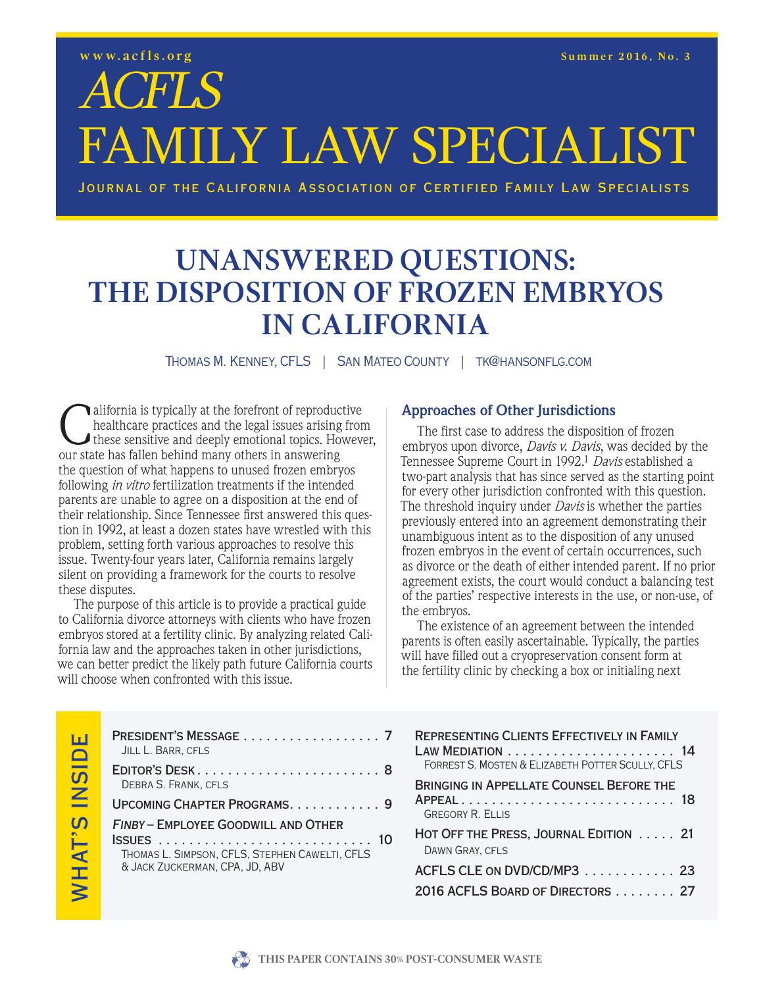# ACFLS FAMILY LAW SPECIALIST

Journal of the California Association of Certified Family Law Specialists

## **UNANSWERED QUESTIONS:<br>THE DISPOSITION OF FROZEN EMBRYOS THE DISPOSITION CALIFORNIA**

**IN THOMAS M. KENNEY, CFLS** | SAN MATEO COUNTY | TK@HANSONFLG.COM

California is typically at the forefront of reproductive<br>healthcare practices and the legal issues arising fron<br>these sensitive and deeply emotional topics. However<br>our state has fallen behind many others in answering healthcare practices and the legal issues arising from these sensitive and deeply emotional topics. However, our state has fallen behind many others in answering the question of what happens to unused frozen embryos following *in vitro* fertilization treatments if the intended parents are unable to agree on a disposition at the end of their relationship. Since Tennessee first answered this question in 1992, at least a dozen states have wrestled with this problem, setting forth various approaches to resolve this issue. Twenty-four years later, California remains largely silent on providing a framework for the courts to resolve these disputes.

The purpose of this article is to provide a practical guide to California divorce attorneys with clients who have frozen embryos stored at a fertility clinic. By analyzing related California law and the approaches taken in other jurisdictions, we can better predict the likely path future California courts will choose when confronted with this issue.

#### **Approaches of Other Jurisdictions**

The first case to address the disposition of frozen embryos upon divorce, *Davis v. Davis*, was decided by the Tennessee Supreme Court in 1992.1 *Davis* established a two-part analysis that has since served as the starting point for every other jurisdiction confronted with this question. The threshold inquiry under *Davis* is whether the parties previously entered into an agreement demonstrating their unambiguous intent as to the disposition of any unused frozen embryos in the event of certain occurrences, such as divorce or the death of either intended parent. If no prior agreement exists, the court would conduct a balancing test of the parties' respective interests in the use, or non-use, of the embryos.

The existence of an agreement between the intended parents is often easily ascertainable. Typically, the parties will have filled out a cryopreservation consent form at the fertility clinic by checking a box or initialing next

| <b>REPRESENTING CLIENTS EFFECTIVELY IN FAMILY</b><br>FORREST S. MOSTEN & ELIZABETH POTTER SCULLY, CFLS |
|--------------------------------------------------------------------------------------------------------|
| BRINGING IN APPELLATE COUNSEL BEFORE THE<br>APPEAL 18<br><b>GREGORY R. ELLIS</b>                       |
| HOT OFF THE PRESS, JOURNAL EDITION 21<br>DAWN GRAY, CFLS                                               |
| ACFLS CLE ON DVD/CD/MP3 23                                                                             |
| 2016 ACFLS BOARD OF DIRECTORS 27                                                                       |

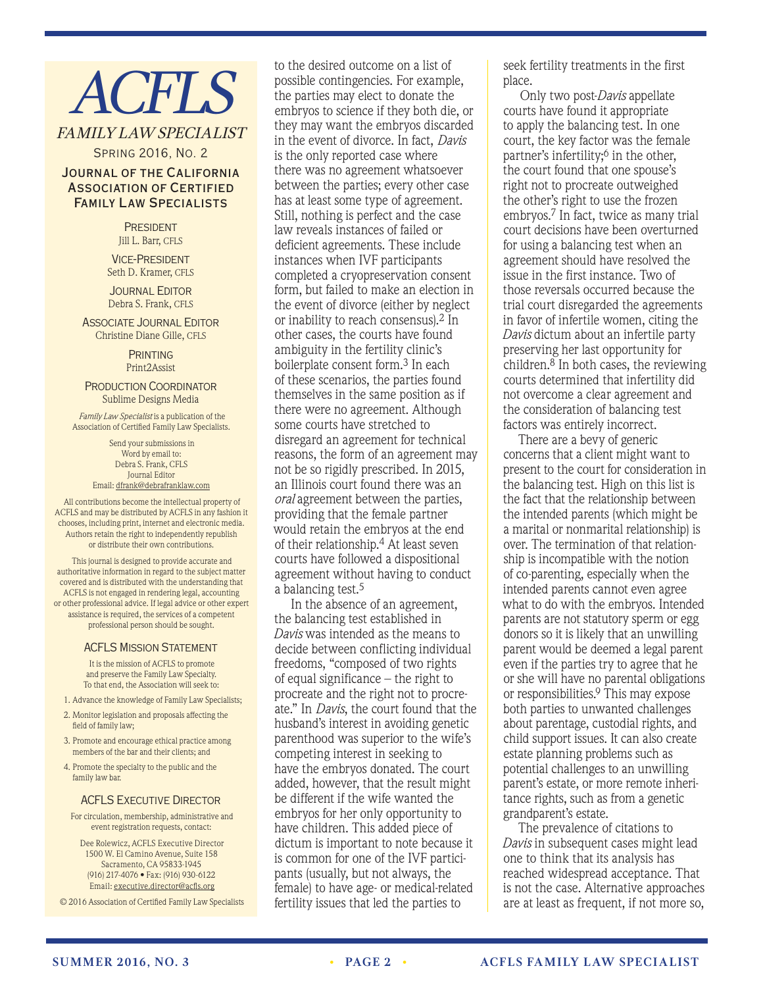# **ACFLS**

## FAMILY LAW SPECIALIST

Spring 2016, No. 2

#### Journal of the California Association of Certified Family Law Specialists

**PRESIDENT** Jill L. Barr, CFLS

Vice-President Seth D. Kramer, CFLS

**JOURNAL EDITOR** Debra S. Frank, CFLS

**ASSOCIATE JOURNAL EDITOR** Christine Diane Gille, CFLS

> **PRINTING** Print2Assist

Production Coordinator Sublime Designs Media

*Family Law Specialist* is a publication of the Association of Certified Family Law Specialists.

> Send your submissions in Word by email to: Debra S. Frank, CFLS Journal Editor Email: dfrank@debrafranklaw.com

All contributions become the intellectual property of ACFLS and may be distributed by ACFLS in any fashion it chooses, including print, internet and electronic media. Authors retain the right to independently republish or distribute their own contributions.

This journal is designed to provide accurate and authoritative information in regard to the subject matter covered and is distributed with the understanding that ACFLS is not engaged in rendering legal, accounting or other professional advice. If legal advice or other expert assistance is required, the services of a competent professional person should be sought.

#### ACFLS Mission Statement

It is the mission of ACFLS to promote and preserve the Family Law Specialty. To that end, the Association will seek to:

- 1. Advance the knowledge of Family Law Specialists;
- 2. Monitor legislation and proposals affecting the field of family law;
- 3. Promote and encourage ethical practice among members of the bar and their clients; and
- 4. Promote the specialty to the public and the family law bar.

#### **ACFLS EXECUTIVE DIRECTOR**

For circulation, membership, administrative and event registration requests, contact:

Dee Rolewicz, ACFLS Executive Director 1500 W. El Camino Avenue, Suite 158 Sacramento, CA 95833-1945 (916) 217-4076 • Fax: (916) 930-6122 Email: executive.director@acfls.org

© 2016 Association of Certified Family Law Specialists

to the desired outcome on a list of possible contingencies. For example, the parties may elect to donate the embryos to science if they both die, or they may want the embryos discarded in the event of divorce. In fact, *Davis* is the only reported case where there was no agreement whatsoever between the parties; every other case has at least some type of agreement. Still, nothing is perfect and the case law reveals instances of failed or deficient agreements. These include instances when IVF participants completed a cryopreservation consent form, but failed to make an election in the event of divorce (either by neglect or inability to reach consensus).2 In other cases, the courts have found ambiguity in the fertility clinic's boilerplate consent form.3 In each of these scenarios, the parties found themselves in the same position as if there were no agreement. Although some courts have stretched to disregard an agreement for technical reasons, the form of an agreement may not be so rigidly prescribed. In 2015, an Illinois court found there was an *oral* agreement between the parties, providing that the female partner would retain the embryos at the end of their relationship.4 At least seven courts have followed a dispositional agreement without having to conduct a balancing test.5

In the absence of an agreement, the balancing test established in *Davis* was intended as the means to decide between conflicting individual freedoms, "composed of two rights of equal significance – the right to procreate and the right not to procreate." In *Davis*, the court found that the husband's interest in avoiding genetic parenthood was superior to the wife's competing interest in seeking to have the embryos donated. The court added, however, that the result might be different if the wife wanted the embryos for her only opportunity to have children. This added piece of dictum is important to note because it is common for one of the IVF participants (usually, but not always, the female) to have age- or medical-related fertility issues that led the parties to

seek fertility treatments in the first place.

Only two post-*Davis* appellate courts have found it appropriate to apply the balancing test. In one court, the key factor was the female partner's infertility; $\delta$  in the other, the court found that one spouse's right not to procreate outweighed the other's right to use the frozen embryos.7 In fact, twice as many trial court decisions have been overturned for using a balancing test when an agreement should have resolved the issue in the first instance. Two of those reversals occurred because the trial court disregarded the agreements in favor of infertile women, citing the *Davis* dictum about an infertile party preserving her last opportunity for children. $8$  In both cases, the reviewing courts determined that infertility did not overcome a clear agreement and the consideration of balancing test factors was entirely incorrect.

There are a bevy of generic concerns that a client might want to present to the court for consideration in the balancing test. High on this list is the fact that the relationship between the intended parents (which might be a marital or nonmarital relationship) is over. The termination of that relationship is incompatible with the notion of co-parenting, especially when the intended parents cannot even agree what to do with the embryos. Intended parents are not statutory sperm or egg donors so it is likely that an unwilling parent would be deemed a legal parent even if the parties try to agree that he or she will have no parental obligations or responsibilities.9 This may expose both parties to unwanted challenges about parentage, custodial rights, and child support issues. It can also create estate planning problems such as potential challenges to an unwilling parent's estate, or more remote inheritance rights, such as from a genetic grandparent's estate.

The prevalence of citations to *Davis* in subsequent cases might lead one to think that its analysis has reached widespread acceptance. That is not the case. Alternative approaches are at least as frequent, if not more so,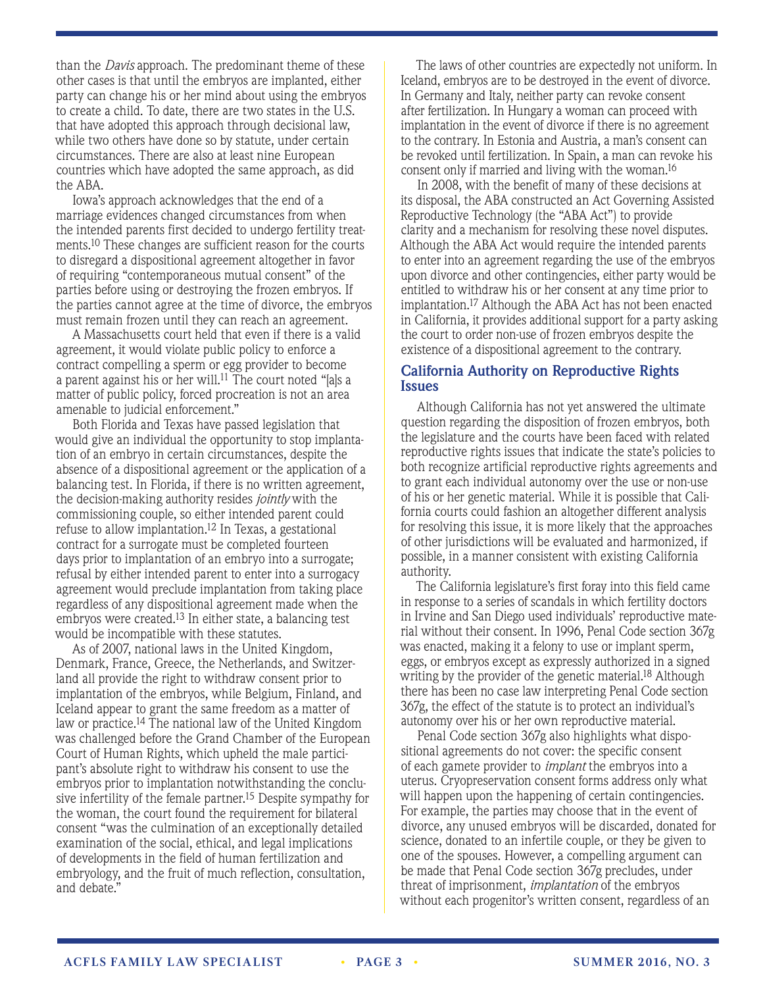than the *Davis* approach. The predominant theme of these other cases is that until the embryos are implanted, either party can change his or her mind about using the embryos to create a child. To date, there are two states in the U.S. that have adopted this approach through decisional law, while two others have done so by statute, under certain circumstances. There are also at least nine European countries which have adopted the same approach, as did the ABA.

Iowa's approach acknowledges that the end of a marriage evidences changed circumstances from when the intended parents first decided to undergo fertility treatments.10 These changes are sufficient reason for the courts to disregard a dispositional agreement altogether in favor of requiring "contemporaneous mutual consent" of the parties before using or destroying the frozen embryos. If the parties cannot agree at the time of divorce, the embryos must remain frozen until they can reach an agreement.

A Massachusetts court held that even if there is a valid agreement, it would violate public policy to enforce a contract compelling a sperm or egg provider to become a parent against his or her will.11 The court noted "[a]s a matter of public policy, forced procreation is not an area amenable to judicial enforcement."

Both Florida and Texas have passed legislation that would give an individual the opportunity to stop implantation of an embryo in certain circumstances, despite the absence of a dispositional agreement or the application of a balancing test. In Florida, if there is no written agreement, the decision-making authority resides *jointly* with the commissioning couple, so either intended parent could refuse to allow implantation.12 In Texas, a gestational contract for a surrogate must be completed fourteen days prior to implantation of an embryo into a surrogate; refusal by either intended parent to enter into a surrogacy agreement would preclude implantation from taking place regardless of any dispositional agreement made when the embryos were created.<sup>13</sup> In either state, a balancing test would be incompatible with these statutes.

As of 2007, national laws in the United Kingdom, Denmark, France, Greece, the Netherlands, and Switzerland all provide the right to withdraw consent prior to implantation of the embryos, while Belgium, Finland, and Iceland appear to grant the same freedom as a matter of law or practice.<sup>14</sup> The national law of the United Kingdom was challenged before the Grand Chamber of the European Court of Human Rights, which upheld the male participant's absolute right to withdraw his consent to use the embryos prior to implantation notwithstanding the conclusive infertility of the female partner.<sup>15</sup> Despite sympathy for the woman, the court found the requirement for bilateral consent "was the culmination of an exceptionally detailed examination of the social, ethical, and legal implications of developments in the field of human fertilization and embryology, and the fruit of much reflection, consultation, and debate."

The laws of other countries are expectedly not uniform. In Iceland, embryos are to be destroyed in the event of divorce. In Germany and Italy, neither party can revoke consent after fertilization. In Hungary a woman can proceed with implantation in the event of divorce if there is no agreement to the contrary. In Estonia and Austria, a man's consent can be revoked until fertilization. In Spain, a man can revoke his consent only if married and living with the woman.16

In 2008, with the benefit of many of these decisions at its disposal, the ABA constructed an Act Governing Assisted Reproductive Technology (the "ABA Act") to provide clarity and a mechanism for resolving these novel disputes. Although the ABA Act would require the intended parents to enter into an agreement regarding the use of the embryos upon divorce and other contingencies, either party would be entitled to withdraw his or her consent at any time prior to implantation.17 Although the ABA Act has not been enacted in California, it provides additional support for a party asking the court to order non-use of frozen embryos despite the existence of a dispositional agreement to the contrary.

#### **California Authority on Reproductive Rights Issues**

Although California has not yet answered the ultimate question regarding the disposition of frozen embryos, both the legislature and the courts have been faced with related reproductive rights issues that indicate the state's policies to both recognize artificial reproductive rights agreements and to grant each individual autonomy over the use or non-use of his or her genetic material. While it is possible that California courts could fashion an altogether different analysis for resolving this issue, it is more likely that the approaches of other jurisdictions will be evaluated and harmonized, if possible, in a manner consistent with existing California authority.

The California legislature's first foray into this field came in response to a series of scandals in which fertility doctors in Irvine and San Diego used individuals' reproductive material without their consent. In 1996, Penal Code section 367g was enacted, making it a felony to use or implant sperm, eggs, or embryos except as expressly authorized in a signed writing by the provider of the genetic material.<sup>18</sup> Although there has been no case law interpreting Penal Code section 367g, the effect of the statute is to protect an individual's autonomy over his or her own reproductive material.

Penal Code section 367g also highlights what dispositional agreements do not cover: the specific consent of each gamete provider to *implant* the embryos into a uterus. Cryopreservation consent forms address only what will happen upon the happening of certain contingencies. For example, the parties may choose that in the event of divorce, any unused embryos will be discarded, donated for science, donated to an infertile couple, or they be given to one of the spouses. However, a compelling argument can be made that Penal Code section 367g precludes, under threat of imprisonment, *implantation* of the embryos without each progenitor's written consent, regardless of an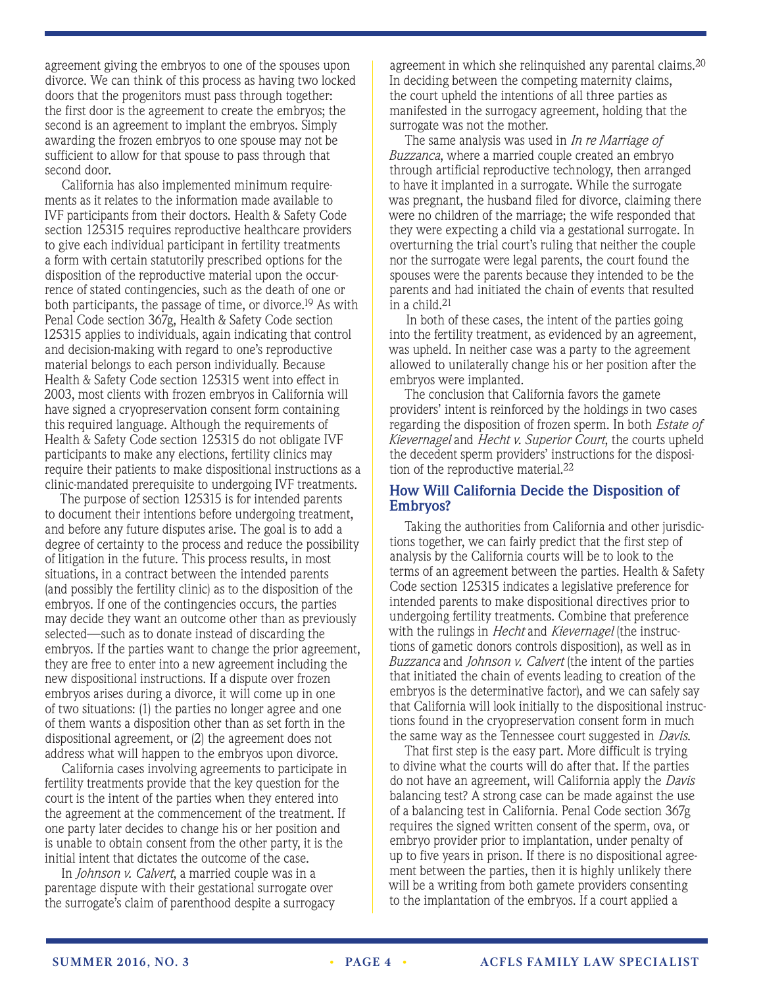agreement giving the embryos to one of the spouses upon divorce. We can think of this process as having two locked doors that the progenitors must pass through together: the first door is the agreement to create the embryos; the second is an agreement to implant the embryos. Simply awarding the frozen embryos to one spouse may not be sufficient to allow for that spouse to pass through that second door.

California has also implemented minimum requirements as it relates to the information made available to IVF participants from their doctors. Health & Safety Code section 125315 requires reproductive healthcare providers to give each individual participant in fertility treatments a form with certain statutorily prescribed options for the disposition of the reproductive material upon the occurrence of stated contingencies, such as the death of one or both participants, the passage of time, or divorce.19 As with Penal Code section 367g, Health & Safety Code section 125315 applies to individuals, again indicating that control and decision-making with regard to one's reproductive material belongs to each person individually. Because Health & Safety Code section 125315 went into effect in 2003, most clients with frozen embryos in California will have signed a cryopreservation consent form containing this required language. Although the requirements of Health & Safety Code section 125315 do not obligate IVF participants to make any elections, fertility clinics may require their patients to make dispositional instructions as a clinic-mandated prerequisite to undergoing IVF treatments.

The purpose of section 125315 is for intended parents to document their intentions before undergoing treatment, and before any future disputes arise. The goal is to add a degree of certainty to the process and reduce the possibility of litigation in the future. This process results, in most situations, in a contract between the intended parents (and possibly the fertility clinic) as to the disposition of the embryos. If one of the contingencies occurs, the parties may decide they want an outcome other than as previously selected—such as to donate instead of discarding the embryos. If the parties want to change the prior agreement, they are free to enter into a new agreement including the new dispositional instructions. If a dispute over frozen embryos arises during a divorce, it will come up in one of two situations: (1) the parties no longer agree and one of them wants a disposition other than as set forth in the dispositional agreement, or (2) the agreement does not address what will happen to the embryos upon divorce.

California cases involving agreements to participate in fertility treatments provide that the key question for the court is the intent of the parties when they entered into the agreement at the commencement of the treatment. If one party later decides to change his or her position and is unable to obtain consent from the other party, it is the initial intent that dictates the outcome of the case.

In *Johnson v. Calvert*, a married couple was in a parentage dispute with their gestational surrogate over the surrogate's claim of parenthood despite a surrogacy agreement in which she relinguished any parental claims.<sup>20</sup> In deciding between the competing maternity claims, the court upheld the intentions of all three parties as manifested in the surrogacy agreement, holding that the surrogate was not the mother.

The same analysis was used in *In re Marriage of Buzzanca*, where a married couple created an embryo through artificial reproductive technology, then arranged to have it implanted in a surrogate. While the surrogate was pregnant, the husband filed for divorce, claiming there were no children of the marriage; the wife responded that they were expecting a child via a gestational surrogate. In overturning the trial court's ruling that neither the couple nor the surrogate were legal parents, the court found the spouses were the parents because they intended to be the parents and had initiated the chain of events that resulted in a child.21

In both of these cases, the intent of the parties going into the fertility treatment, as evidenced by an agreement, was upheld. In neither case was a party to the agreement allowed to unilaterally change his or her position after the embryos were implanted.

The conclusion that California favors the gamete providers' intent is reinforced by the holdings in two cases regarding the disposition of frozen sperm. In both *Estate of Kievernagel* and *Hecht v. Superior Court*, the courts upheld the decedent sperm providers' instructions for the disposition of the reproductive material.<sup>22</sup>

#### **How Will California Decide the Disposition of Embryos?**

Taking the authorities from California and other jurisdictions together, we can fairly predict that the first step of analysis by the California courts will be to look to the terms of an agreement between the parties. Health & Safety Code section 125315 indicates a legislative preference for intended parents to make dispositional directives prior to undergoing fertility treatments. Combine that preference with the rulings in *Hecht* and *Kievernagel* (the instructions of gametic donors controls disposition), as well as in *Buzzanca* and *Johnson v. Calvert* (the intent of the parties that initiated the chain of events leading to creation of the embryos is the determinative factor), and we can safely say that California will look initially to the dispositional instructions found in the cryopreservation consent form in much the same way as the Tennessee court suggested in *Davis*.

That first step is the easy part. More difficult is trying to divine what the courts will do after that. If the parties do not have an agreement, will California apply the *Davis* balancing test? A strong case can be made against the use of a balancing test in California. Penal Code section 367g requires the signed written consent of the sperm, ova, or embryo provider prior to implantation, under penalty of up to five years in prison. If there is no dispositional agreement between the parties, then it is highly unlikely there will be a writing from both gamete providers consenting to the implantation of the embryos. If a court applied a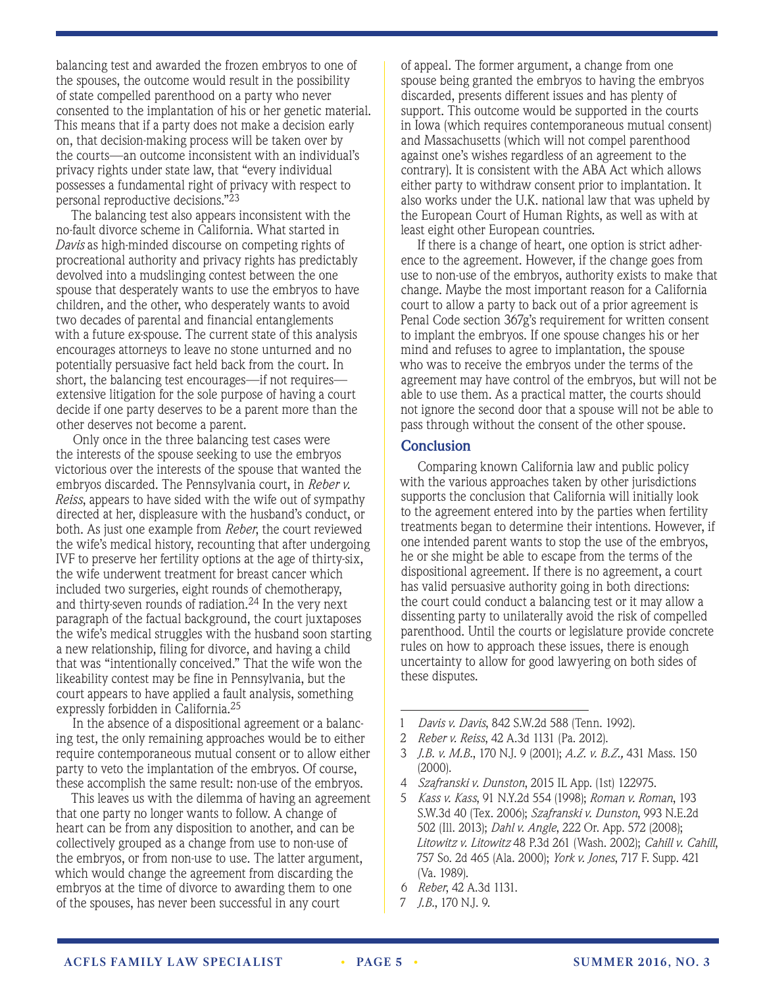balancing test and awarded the frozen embryos to one of the spouses, the outcome would result in the possibility of state compelled parenthood on a party who never consented to the implantation of his or her genetic material. This means that if a party does not make a decision early on, that decision-making process will be taken over by the courts—an outcome inconsistent with an individual's privacy rights under state law, that "every individual possesses a fundamental right of privacy with respect to personal reproductive decisions."23

The balancing test also appears inconsistent with the no-fault divorce scheme in California. What started in *Davis* as high-minded discourse on competing rights of procreational authority and privacy rights has predictably devolved into a mudslinging contest between the one spouse that desperately wants to use the embryos to have children, and the other, who desperately wants to avoid two decades of parental and financial entanglements with a future ex-spouse. The current state of this analysis encourages attorneys to leave no stone unturned and no potentially persuasive fact held back from the court. In short, the balancing test encourages—if not requires extensive litigation for the sole purpose of having a court decide if one party deserves to be a parent more than the other deserves not become a parent.

Only once in the three balancing test cases were the interests of the spouse seeking to use the embryos victorious over the interests of the spouse that wanted the embryos discarded. The Pennsylvania court, in *Reber v. Reiss*, appears to have sided with the wife out of sympathy directed at her, displeasure with the husband's conduct, or both. As just one example from *Reber*, the court reviewed the wife's medical history, recounting that after undergoing IVF to preserve her fertility options at the age of thirty-six, the wife underwent treatment for breast cancer which included two surgeries, eight rounds of chemotherapy, and thirty-seven rounds of radiation.<sup>24</sup> In the very next paragraph of the factual background, the court juxtaposes the wife's medical struggles with the husband soon starting a new relationship, filing for divorce, and having a child that was "intentionally conceived." That the wife won the likeability contest may be fine in Pennsylvania, but the court appears to have applied a fault analysis, something expressly forbidden in California.25

In the absence of a dispositional agreement or a balancing test, the only remaining approaches would be to either require contemporaneous mutual consent or to allow either party to veto the implantation of the embryos. Of course, these accomplish the same result: non-use of the embryos.

This leaves us with the dilemma of having an agreement that one party no longer wants to follow. A change of heart can be from any disposition to another, and can be collectively grouped as a change from use to non-use of the embryos, or from non-use to use. The latter argument, which would change the agreement from discarding the embryos at the time of divorce to awarding them to one of the spouses, has never been successful in any court

of appeal. The former argument, a change from one spouse being granted the embryos to having the embryos discarded, presents different issues and has plenty of support. This outcome would be supported in the courts in Iowa (which requires contemporaneous mutual consent) and Massachusetts (which will not compel parenthood against one's wishes regardless of an agreement to the contrary). It is consistent with the ABA Act which allows either party to withdraw consent prior to implantation. It also works under the U.K. national law that was upheld by the European Court of Human Rights, as well as with at least eight other European countries.

If there is a change of heart, one option is strict adherence to the agreement. However, if the change goes from use to non-use of the embryos, authority exists to make that change. Maybe the most important reason for a California court to allow a party to back out of a prior agreement is Penal Code section 367g's requirement for written consent to implant the embryos. If one spouse changes his or her mind and refuses to agree to implantation, the spouse who was to receive the embryos under the terms of the agreement may have control of the embryos, but will not be able to use them. As a practical matter, the courts should not ignore the second door that a spouse will not be able to pass through without the consent of the other spouse.

#### **Conclusion**

Comparing known California law and public policy with the various approaches taken by other jurisdictions supports the conclusion that California will initially look to the agreement entered into by the parties when fertility treatments began to determine their intentions. However, if one intended parent wants to stop the use of the embryos, he or she might be able to escape from the terms of the dispositional agreement. If there is no agreement, a court has valid persuasive authority going in both directions: the court could conduct a balancing test or it may allow a dissenting party to unilaterally avoid the risk of compelled parenthood. Until the courts or legislature provide concrete rules on how to approach these issues, there is enough uncertainty to allow for good lawyering on both sides of these disputes.

- 1 *Davis v. Davis*, 842 S.W.2d 588 (Tenn. 1992).
- 2 *Reber v. Reiss*, 42 A.3d 1131 (Pa. 2012).
- 3 *J.B. v. M.B.*, 170 N.J. 9 (2001); *A.Z. v. B.Z.,* 431 Mass. 150 (2000).
- 4 *Szafranski v. Dunston*, 2015 IL App. (1st) 122975.
- 5 *Kass v. Kass*, 91 N.Y.2d 554 (1998); *Roman v. Roman*, 193 S.W.3d 40 (Tex. 2006); *Szafranski v. Dunston*, 993 N.E.2d 502 (Ill. 2013); *Dahl v. Angle*, 222 Or. App. 572 (2008); *Litowitz v. Litowitz* 48 P.3d 261 (Wash. 2002); *Cahill v. Cahill*, 757 So. 2d 465 (Ala. 2000); *York v. Jones*, 717 F. Supp. 421 (Va. 1989).
- 6 *Reber*, 42 A.3d 1131.
- 7 *J.B.*, 170 N.J. 9.